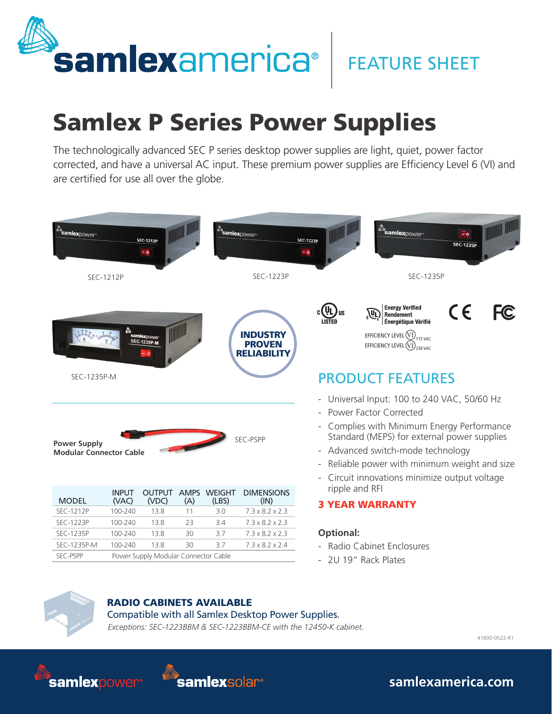

## **FEATURE SHEET**

## Samlex P Series Power Supplies

The technologically advanced SEC P series desktop power supplies are light, quiet, power factor corrected, and have a universal AC input. These premium power supplies are Efficiency Level 6 (VI) and are certified for use all over the globe.



- 2U 19" Rack Plates



## RADIO CABINETS AVAILABLE

*Exceptions: SEC-1223BBM & SEC-1223BBM-CE with the 12450-K cabinet.* Compatible with all Samlex Desktop Power Supplies.

41600-0522-R1





**samlexamerica.com**